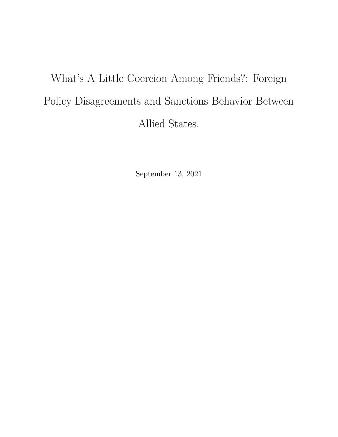# What's A Little Coercion Among Friends?: Foreign Policy Disagreements and Sanctions Behavior Between Allied States.

September 13, 2021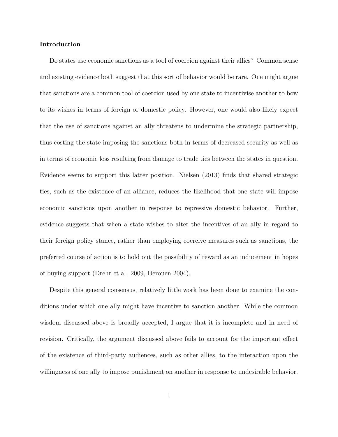# **Introduction**

Do states use economic sanctions as a tool of coercion against their allies? Common sense and existing evidence both suggest that this sort of behavior would be rare. One might argue that sanctions are a common tool of coercion used by one state to incentivise another to bow to its wishes in terms of foreign or domestic policy. However, one would also likely expect that the use of sanctions against an ally threatens to undermine the strategic partnership, thus costing the state imposing the sanctions both in terms of decreased security as well as in terms of economic loss resulting from damage to trade ties between the states in question. Evidence seems to support this latter position. Nielsen (2013) finds that shared strategic ties, such as the existence of an alliance, reduces the likelihood that one state will impose economic sanctions upon another in response to repressive domestic behavior. Further, evidence suggests that when a state wishes to alter the incentives of an ally in regard to their foreign policy stance, rather than employing coercive measures such as sanctions, the preferred course of action is to hold out the possibility of reward as an inducement in hopes of buying support (Drehr et al. 2009, Derouen 2004).

Despite this general consensus, relatively little work has been done to examine the conditions under which one ally might have incentive to sanction another. While the common wisdom discussed above is broadly accepted, I argue that it is incomplete and in need of revision. Critically, the argument discussed above fails to account for the important effect of the existence of third-party audiences, such as other allies, to the interaction upon the willingness of one ally to impose punishment on another in response to undesirable behavior.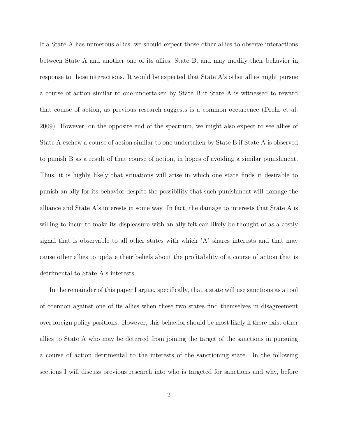If a State A has numerous allies, we should expect those other allies to observe interactions between State A and another one of its allies, State B, and may modify their behavior in response to those interactions. It would be expected that State A's other allies might pursue a course of action similar to one undertaken by State B if State A is witnessed to reward that course of action, as previous research suggests is a common occurrence (Drehr et al. 2009). However, on the opposite end of the spectrum, we might also expect to see allies of State A eschew a course of action similar to one undertaken by State B if State A is observed to punish B as a result of that course of action, in hopes of avoiding a similar punishment. Thus, it is highly likely that situations will arise in which one state finds it desirable to punish an ally for its behavior despite the possibility that such punishment will damage the alliance and State A's interests in some way. In fact, the damage to interests that State A is willing to incur to make its displeasure with an ally felt can likely be thought of as a costly signal that is observable to all other states with which "A" shares interests and that may cause other allies to update their beliefs about the profitability of a course of action that is detrimental to State A's interests.

In the remainder of this paper I argue, specifically, that a state will use sanctions as a tool of coercion against one of its allies when these two states find themselves in disagreement over foreign policy positions. However, this behavior should be most likely if there exist other allies to State A who may be deterred from joining the target of the sanctions in pursuing a course of action detrimental to the interests of the sanctioning state. In the following sections I will discuss previous research into who is targeted for sanctions and why, before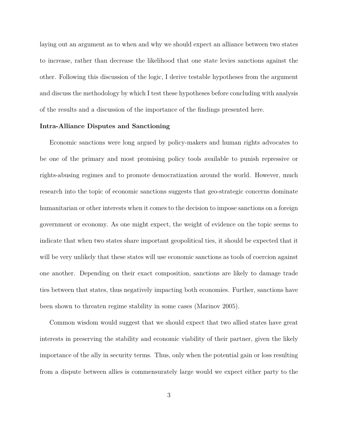laying out an argument as to when and why we should expect an alliance between two states to increase, rather than decrease the likelihood that one state levies sanctions against the other. Following this discussion of the logic, I derive testable hypotheses from the argument and discuss the methodology by which I test these hypotheses before concluding with analysis of the results and a discussion of the importance of the findings presented here.

# **Intra-Alliance Disputes and Sanctioning**

Economic sanctions were long argued by policy-makers and human rights advocates to be one of the primary and most promising policy tools available to punish repressive or rights-abusing regimes and to promote democratization around the world. However, much research into the topic of economic sanctions suggests that geo-strategic concerns dominate humanitarian or other interests when it comes to the decision to impose sanctions on a foreign government or economy. As one might expect, the weight of evidence on the topic seems to indicate that when two states share important geopolitical ties, it should be expected that it will be very unlikely that these states will use economic sanctions as tools of coercion against one another. Depending on their exact composition, sanctions are likely to damage trade ties between that states, thus negatively impacting both economies. Further, sanctions have been shown to threaten regime stability in some cases (Marinov 2005).

Common wisdom would suggest that we should expect that two allied states have great interests in preserving the stability and economic viability of their partner, given the likely importance of the ally in security terms. Thus, only when the potential gain or loss resulting from a dispute between allies is commensurately large would we expect either party to the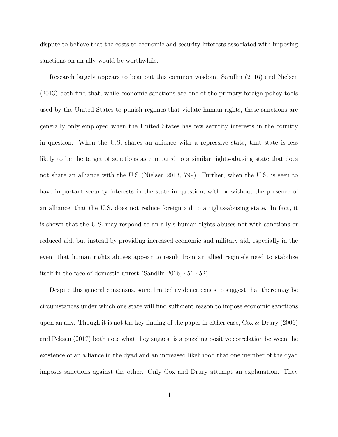dispute to believe that the costs to economic and security interests associated with imposing sanctions on an ally would be worthwhile.

Research largely appears to bear out this common wisdom. Sandlin (2016) and Nielsen (2013) both find that, while economic sanctions are one of the primary foreign policy tools used by the United States to punish regimes that violate human rights, these sanctions are generally only employed when the United States has few security interests in the country in question. When the U.S. shares an alliance with a repressive state, that state is less likely to be the target of sanctions as compared to a similar rights-abusing state that does not share an alliance with the U.S (Nielsen 2013, 799). Further, when the U.S. is seen to have important security interests in the state in question, with or without the presence of an alliance, that the U.S. does not reduce foreign aid to a rights-abusing state. In fact, it is shown that the U.S. may respond to an ally's human rights abuses not with sanctions or reduced aid, but instead by providing increased economic and military aid, especially in the event that human rights abuses appear to result from an allied regime's need to stabilize itself in the face of domestic unrest (Sandlin 2016, 451-452).

Despite this general consensus, some limited evidence exists to suggest that there may be circumstances under which one state will find sufficient reason to impose economic sanctions upon an ally. Though it is not the key finding of the paper in either case, Cox & Drury (2006) and Peksen (2017) both note what they suggest is a puzzling positive correlation between the existence of an alliance in the dyad and an increased likelihood that one member of the dyad imposes sanctions against the other. Only Cox and Drury attempt an explanation. They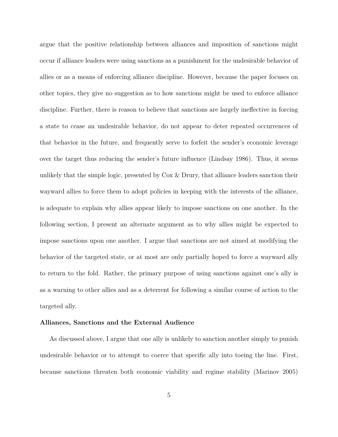argue that the positive relationship between alliances and imposition of sanctions might occur if alliance leaders were using sanctions as a punishment for the undesirable behavior of allies or as a means of enforcing alliance discipline. However, because the paper focuses on other topics, they give no suggestion as to how sanctions might be used to enforce alliance discipline. Further, there is reason to believe that sanctions are largely ineffective in forcing a state to cease an undesirable behavior, do not appear to deter repeated occurrences of that behavior in the future, and frequently serve to forfeit the sender's economic leverage over the target thus reducing the sender's future influence (Lindsay 1986). Thus, it seems unlikely that the simple logic, presented by  $\cos \&$  Drury, that alliance leaders sanction their wayward allies to force them to adopt policies in keeping with the interests of the alliance, is adequate to explain why allies appear likely to impose sanctions on one another. In the following section, I present an alternate argument as to why allies might be expected to impose sanctions upon one another. I argue that sanctions are not aimed at modifying the behavior of the targeted state, or at most are only partially hoped to force a wayward ally to return to the fold. Rather, the primary purpose of using sanctions against one's ally is as a warning to other allies and as a deterrent for following a similar course of action to the targeted ally.

#### **Alliances, Sanctions and the External Audience**

As discussed above, I argue that one ally is unlikely to sanction another simply to punish undesirable behavior or to attempt to coerce that specific ally into toeing the line. First, because sanctions threaten both economic viability and regime stability (Marinov 2005)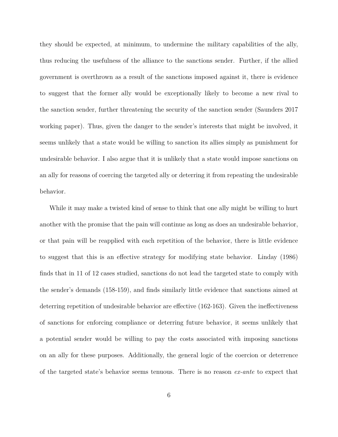they should be expected, at minimum, to undermine the military capabilities of the ally, thus reducing the usefulness of the alliance to the sanctions sender. Further, if the allied government is overthrown as a result of the sanctions imposed against it, there is evidence to suggest that the former ally would be exceptionally likely to become a new rival to the sanction sender, further threatening the security of the sanction sender (Saunders 2017 working paper). Thus, given the danger to the sender's interests that might be involved, it seems unlikely that a state would be willing to sanction its allies simply as punishment for undesirable behavior. I also argue that it is unlikely that a state would impose sanctions on an ally for reasons of coercing the targeted ally or deterring it from repeating the undesirable behavior.

While it may make a twisted kind of sense to think that one ally might be willing to hurt another with the promise that the pain will continue as long as does an undesirable behavior, or that pain will be reapplied with each repetition of the behavior, there is little evidence to suggest that this is an effective strategy for modifying state behavior. Linday (1986) finds that in 11 of 12 cases studied, sanctions do not lead the targeted state to comply with the sender's demands (158-159), and finds similarly little evidence that sanctions aimed at deterring repetition of undesirable behavior are effective (162-163). Given the ineffectiveness of sanctions for enforcing compliance or deterring future behavior, it seems unlikely that a potential sender would be willing to pay the costs associated with imposing sanctions on an ally for these purposes. Additionally, the general logic of the coercion or deterrence of the targeted state's behavior seems tenuous. There is no reason *ex-ante* to expect that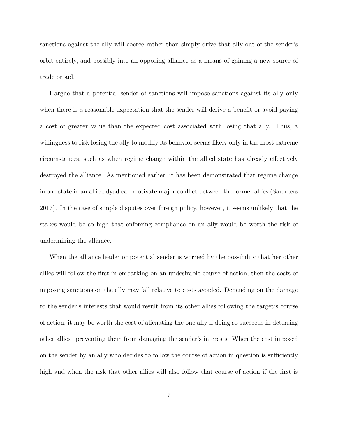sanctions against the ally will coerce rather than simply drive that ally out of the sender's orbit entirely, and possibly into an opposing alliance as a means of gaining a new source of trade or aid.

I argue that a potential sender of sanctions will impose sanctions against its ally only when there is a reasonable expectation that the sender will derive a benefit or avoid paying a cost of greater value than the expected cost associated with losing that ally. Thus, a willingness to risk losing the ally to modify its behavior seems likely only in the most extreme circumstances, such as when regime change within the allied state has already effectively destroyed the alliance. As mentioned earlier, it has been demonstrated that regime change in one state in an allied dyad can motivate major conflict between the former allies (Saunders 2017). In the case of simple disputes over foreign policy, however, it seems unlikely that the stakes would be so high that enforcing compliance on an ally would be worth the risk of undermining the alliance.

When the alliance leader or potential sender is worried by the possibility that her other allies will follow the first in embarking on an undesirable course of action, then the costs of imposing sanctions on the ally may fall relative to costs avoided. Depending on the damage to the sender's interests that would result from its other allies following the target's course of action, it may be worth the cost of alienating the one ally if doing so succeeds in deterring other allies –preventing them from damaging the sender's interests. When the cost imposed on the sender by an ally who decides to follow the course of action in question is sufficiently high and when the risk that other allies will also follow that course of action if the first is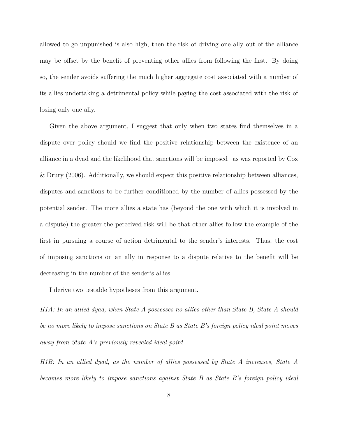allowed to go unpunished is also high, then the risk of driving one ally out of the alliance may be offset by the benefit of preventing other allies from following the first. By doing so, the sender avoids suffering the much higher aggregate cost associated with a number of its allies undertaking a detrimental policy while paying the cost associated with the risk of losing only one ally.

Given the above argument, I suggest that only when two states find themselves in a dispute over policy should we find the positive relationship between the existence of an alliance in a dyad and the likelihood that sanctions will be imposed –as was reported by Cox & Drury (2006). Additionally, we should expect this positive relationship between alliances, disputes and sanctions to be further conditioned by the number of allies possessed by the potential sender. The more allies a state has (beyond the one with which it is involved in a dispute) the greater the perceived risk will be that other allies follow the example of the first in pursuing a course of action detrimental to the sender's interests. Thus, the cost of imposing sanctions on an ally in response to a dispute relative to the benefit will be decreasing in the number of the sender's allies.

I derive two testable hypotheses from this argument.

*H1A: In an allied dyad, when State A possesses no allies other than State B, State A should be no more likely to impose sanctions on State B as State B's foreign policy ideal point moves away from State A's previously revealed ideal point.*

*H1B: In an allied dyad, as the number of allies possessed by State A increases, State A becomes more likely to impose sanctions against State B as State B's foreign policy ideal*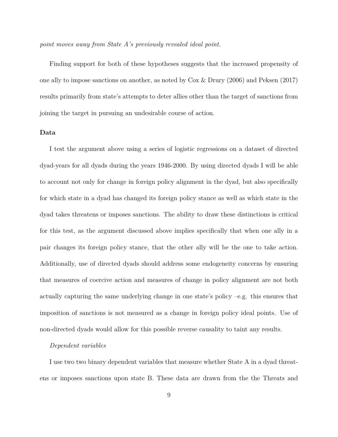*point moves away from State A's previously revealed ideal point.*

Finding support for both of these hypotheses suggests that the increased propensity of one ally to impose sanctions on another, as noted by Cox & Drury (2006) and Peksen (2017) results primarily from state's attempts to deter allies other than the target of sanctions from joining the target in pursuing an undesirable course of action.

# **Data**

I test the argument above using a series of logistic regressions on a dataset of directed dyad-years for all dyads during the years 1946-2000. By using directed dyads I will be able to account not only for change in foreign policy alignment in the dyad, but also specifically for which state in a dyad has changed its foreign policy stance as well as which state in the dyad takes threatens or imposes sanctions. The ability to draw these distinctions is critical for this test, as the argument discussed above implies specifically that when one ally in a pair changes its foreign policy stance, that the other ally will be the one to take action. Additionally, use of directed dyads should address some endogeneity concerns by ensuring that measures of coercive action and measures of change in policy alignment are not both actually capturing the same underlying change in one state's policy –e.g. this ensures that imposition of sanctions is not measured as a change in foreign policy ideal points. Use of non-directed dyads would allow for this possible reverse causality to taint any results.

#### *Dependent variables*

I use two two binary dependent variables that measure whether State A in a dyad threatens or imposes sanctions upon state B. These data are drawn from the the Threats and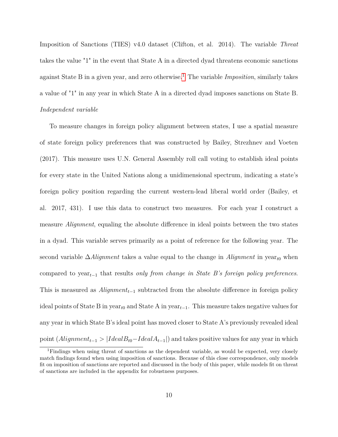Imposition of Sanctions (TIES) v4.0 dataset (Clifton, et al. 2014). The variable *Threat* takes the value "1" in the event that State A in a directed dyad threatens economic sanctions against State B in a given year, and zero otherwise.[1](#page-10-0) The variable *Imposition*, similarly takes a value of "1" in any year in which State A in a directed dyad imposes sanctions on State B. *Independent variable*

To measure changes in foreign policy alignment between states, I use a spatial measure of state foreign policy preferences that was constructed by Bailey, Strezhnev and Voeten (2017). This measure uses U.N. General Assembly roll call voting to establish ideal points for every state in the United Nations along a unidimensional spectrum, indicating a state's foreign policy position regarding the current western-lead liberal world order (Bailey, et al. 2017, 431). I use this data to construct two measures. For each year I construct a measure *Alignment*, equaling the absolute difference in ideal points between the two states in a dyad. This variable serves primarily as a point of reference for the following year. The second variable  $\Delta$ *Alignment* takes a value equal to the change in *Alignment* in year<sub>t0</sub> when compared to year*t*−<sup>1</sup> that results *only from change in State B's foreign policy preferences*. This is measured as *Alignmentt*−<sup>1</sup> subtracted from the absolute difference in foreign policy ideal points of State B in year<sub>t0</sub> and State A in year<sub> $t-1$ </sub>. This measure takes negative values for any year in which State B's ideal point has moved closer to State A's previously revealed ideal point  $(A^{ligenment}t_{t-1} > |IdealB_{t0} - IdealA_{t-1}|)$  and takes positive values for any year in which

<span id="page-10-0"></span><sup>1</sup>Findings when using threat of sanctions as the dependent variable, as would be expected, very closely match findings found when using imposition of sanctions. Because of this close correspondence, only models fit on imposition of sanctions are reported and discussed in the body of this paper, while models fit on threat of sanctions are included in the appendix for robustness purposes.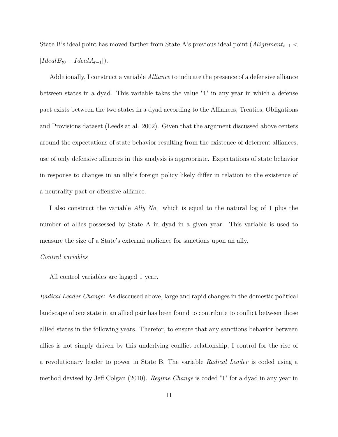State B's ideal point has moved farther from State A's previous ideal point (*Alignmentt*−<sup>1</sup> *<*  $|IdealB<sub>t0</sub> - IdealA<sub>t-1</sub>|$ .

Additionally, I construct a variable *Alliance* to indicate the presence of a defensive alliance between states in a dyad. This variable takes the value "1" in any year in which a defense pact exists between the two states in a dyad according to the Alliances, Treaties, Obligations and Provisions dataset (Leeds at al. 2002). Given that the argument discussed above centers around the expectations of state behavior resulting from the existence of deterrent alliances, use of only defensive alliances in this analysis is appropriate. Expectations of state behavior in response to changes in an ally's foreign policy likely differ in relation to the existence of a neutrality pact or offensive alliance.

I also construct the variable *Ally No.* which is equal to the natural log of 1 plus the number of allies possessed by State A in dyad in a given year. This variable is used to measure the size of a State's external audience for sanctions upon an ally.

#### *Control variables*

All control variables are lagged 1 year.

*Radical Leader Change*: As disccused above, large and rapid changes in the domestic political landscape of one state in an allied pair has been found to contribute to conflict between those allied states in the following years. Therefor, to ensure that any sanctions behavior between allies is not simply driven by this underlying conflict relationship, I control for the rise of a revolutionary leader to power in State B. The variable *Radical Leader* is coded using a method devised by Jeff Colgan (2010). *Regime Change* is coded "1" for a dyad in any year in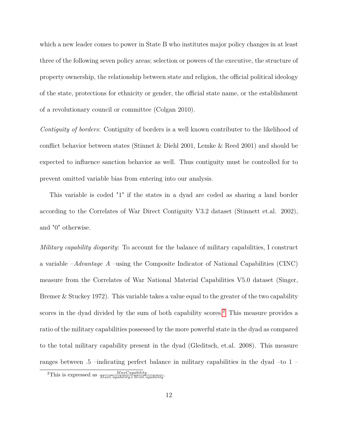which a new leader comes to power in State B who institutes major policy changes in at least three of the following seven policy areas; selection or powers of the executive, the structure of property ownership, the relationship between state and religion, the official political ideology of the state, protections for ethnicity or gender, the official state name, or the establishment of a revolutionary council or committee (Colgan 2010).

*Contiguity of borders*: Contiguity of borders is a well known contributer to the likelihood of conflict behavior between states (Stinnet & Diehl 2001, Lemke & Reed 2001) and should be expected to influence sanction behavior as well. Thus contiguity must be controlled for to prevent omitted variable bias from entering into our analysis.

This variable is coded "1" if the states in a dyad are coded as sharing a land border according to the Correlates of War Direct Contiguity V3.2 dataset (Stinnett et.al. 2002), and "0" otherwise.

*Military capability disparity*: To account for the balance of military capabilities, I construct a variable –*Advantage A* –using the Composite Indicator of National Capabilities (CINC) measure from the Correlates of War National Material Capabilities V5.0 dataset (Singer, Bremer & Stuckey 1972). This variable takes a value equal to the greater of the two capability scores in the dyad divided by the sum of both capability scores.<sup>[2](#page-12-0)</sup> This measure provides a ratio of the military capabilities possessed by the more powerful state in the dyad as compared to the total military capability present in the dyad (Gleditsch, et.al. 2008). This measure ranges between .5 –indicating perfect balance in military capabilities in the dyad –to 1 –

<span id="page-12-0"></span><sup>&</sup>lt;sup>2</sup>This is expressed as  $\frac{MaxCapability}{MaxCapability+MinCapability}$ .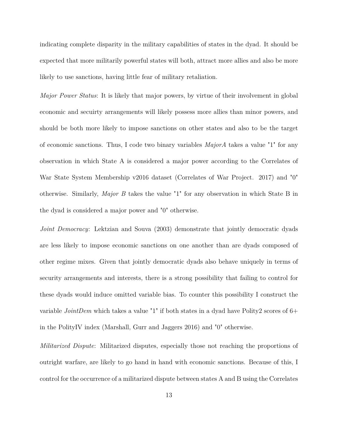indicating complete disparity in the military capabilities of states in the dyad. It should be expected that more militarily powerful states will both, attract more allies and also be more likely to use sanctions, having little fear of military retaliation.

*Major Power Status*: It is likely that major powers, by virtue of their involvement in global economic and secuirty arrangements will likely possess more allies than minor powers, and should be both more likely to impose sanctions on other states and also to be the target of economic sanctions. Thus, I code two binary variables *MajorA* takes a value "1" for any observation in which State A is considered a major power according to the Correlates of War State System Membership v2016 dataset (Correlates of War Project. 2017) and "0" otherwise. Similarly, *Major B* takes the value "1" for any observation in which State B in the dyad is considered a major power and "0" otherwise.

*Joint Democracy*: Lektzian and Souva (2003) demonstrate that jointly democratic dyads are less likely to impose economic sanctions on one another than are dyads composed of other regime mixes. Given that jointly democratic dyads also behave uniquely in terms of security arrangements and interests, there is a strong possibility that failing to control for these dyads would induce omitted variable bias. To counter this possibility I construct the variable *JointDem* which takes a value "1" if both states in a dyad have Polity2 scores of 6+ in the PolityIV index (Marshall, Gurr and Jaggers 2016) and "0" otherwise.

*Militarized Dispute*: Militarized disputes, especially those not reaching the proportions of outright warfare, are likely to go hand in hand with economic sanctions. Because of this, I control for the occurrence of a militarized dispute between states A and B using the Correlates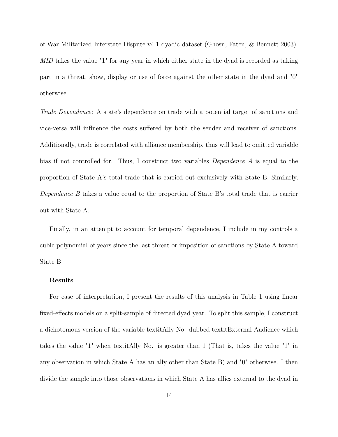of War Militarized Interstate Dispute v4.1 dyadic dataset (Ghosn, Faten, & Bennett 2003). *MID* takes the value "1" for any year in which either state in the dyad is recorded as taking part in a threat, show, display or use of force against the other state in the dyad and "0" otherwise.

*Trade Dependence*: A state's dependence on trade with a potential target of sanctions and vice-versa will influence the costs suffered by both the sender and receiver of sanctions. Additionally, trade is correlated with alliance membership, thus will lead to omitted variable bias if not controlled for. Thus, I construct two variables *Dependence A* is equal to the proportion of State A's total trade that is carried out exclusively with State B. Similarly, *Dependence B* takes a value equal to the proportion of State B's total trade that is carrier out with State A.

Finally, in an attempt to account for temporal dependence, I include in my controls a cubic polynomial of years since the last threat or imposition of sanctions by State A toward State B.

# **Results**

For ease of interpretation, I present the results of this analysis in Table 1 using linear fixed-effects models on a split-sample of directed dyad year. To split this sample, I construct a dichotomous version of the variable textitAlly No. dubbed textitExternal Audience which takes the value "1" when textitAlly No. is greater than 1 (That is, takes the value "1" in any observation in which State A has an ally other than State B) and "0" otherwise. I then divide the sample into those observations in which State A has allies external to the dyad in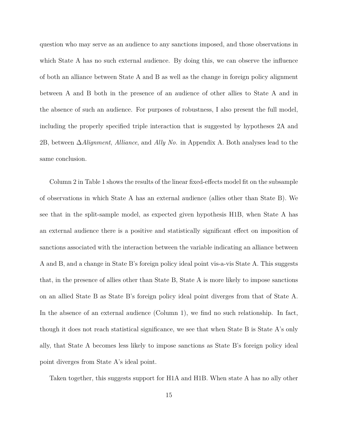question who may serve as an audience to any sanctions imposed, and those observations in which State A has no such external audience. By doing this, we can observe the influence of both an alliance between State A and B as well as the change in foreign policy alignment between A and B both in the presence of an audience of other allies to State A and in the absence of such an audience. For purposes of robustness, I also present the full model, including the properly specified triple interaction that is suggested by hypotheses 2A and 2B, between ∆*Alignment*, *Alliance*, and *Ally No.* in Appendix A. Both analyses lead to the same conclusion.

Column 2 in Table 1 shows the results of the linear fixed-effects model fit on the subsample of observations in which State A has an external audience (allies other than State B). We see that in the split-sample model, as expected given hypothesis H1B, when State A has an external audience there is a positive and statistically significant effect on imposition of sanctions associated with the interaction between the variable indicating an alliance between A and B, and a change in State B's foreign policy ideal point vis-a-vis State A. This suggests that, in the presence of allies other than State B, State A is more likely to impose sanctions on an allied State B as State B's foreign policy ideal point diverges from that of State A. In the absence of an external audience (Column 1), we find no such relationship. In fact, though it does not reach statistical significance, we see that when State B is State A's only ally, that State A becomes less likely to impose sanctions as State B's foreign policy ideal point diverges from State A's ideal point.

Taken together, this suggests support for H1A and H1B. When state A has no ally other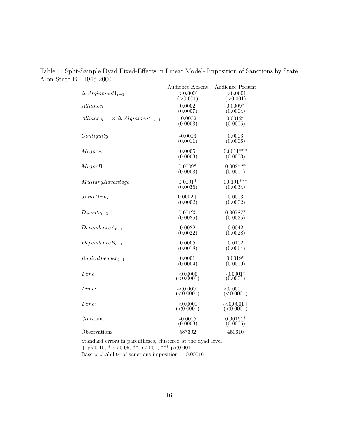Table 1: Split-Sample Dyad Fixed-Effects in Linear Model- Imposition of Sanctions by State A on State B $\underline{\text{ - }1946\text{--}2000}$  $\equiv$ 

|                                                    | Audience Absent         | <b>Audience Present</b>   |
|----------------------------------------------------|-------------------------|---------------------------|
| $\Delta$ Alginment $1_{t-1}$                       | $-20.0001$<br>(>0.001)  | $-20.0001$<br>(>0.001)    |
| $Alliance_{t-1}$                                   | 0.0002<br>(0.0007)      | $0.0009*$<br>(0.0004)     |
| $Alliance_{t-1} \times \Delta$ Alginment $1_{t-1}$ | $-0.0002$<br>(0.0003)   | $0.0012*$<br>(0.0005)     |
| Continuity                                         | $-0.0013$<br>(0.0011)   | 0.0003<br>(0.0006)        |
| Major A                                            | 0.0005<br>(0.0003)      | $0.0011***$<br>(0.0003)   |
| MajorB                                             | $0.0009*$<br>(0.0003)   | $0.002***$<br>(0.0004)    |
| MilityAdvantage                                    | $0.0091*$<br>(0.0036)   | $0.0191***$<br>(0.0034)   |
| $Joint Dem_{t-1}$                                  | $0.0002 +$<br>(0.0002)  | 0.0003<br>(0.0002)        |
| $Dispute_{t-1}$                                    | 0.00125<br>(0.0025)     | $0.00787*$<br>(0.0035)    |
| $Dependence A_{t-1}$                               | 0.0022<br>(0.0022)      | 0.0042<br>(0.0028)        |
| $Dependence B_{t-1}$                               | 0.0005<br>(0.0018)      | 0.0102<br>(0.0064)        |
| $RadicalLeader_{t-1}$                              | 0.0001<br>(0.0004)      | $0.0019*$<br>(0.0009)     |
| Time                                               | < 0.0000<br>(<0.0001)   | $-0.0001*$<br>(0.0001)    |
| Time <sup>2</sup>                                  | $-<0.0001$<br>(<0.0001) | $< 0.0001 +$<br>(<0.0001) |
| Time <sup>3</sup>                                  | < 0.0001<br>(<0.0001)   | $-<0.0001+$<br>(<0.0001)  |
| Constant                                           | $-0.0005$<br>(0.0003)   | $0.0016**$<br>(0.0005)    |
| Observations                                       | 587392                  | 450610                    |

Standard errors in parentheses, clustered at the dyad level

+ p<0.10, \* p<0.05, \*\* p<0.01, \*\*\* p<0.001

Base probability of sanctions imposition  $= 0.00016$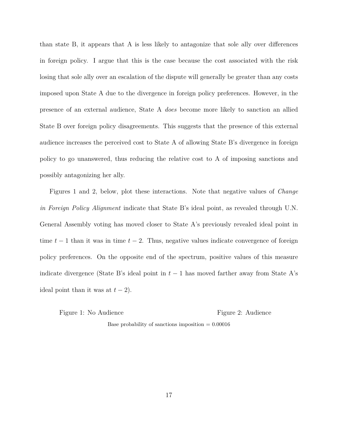than state B, it appears that A is less likely to antagonize that sole ally over differences in foreign policy. I argue that this is the case because the cost associated with the risk losing that sole ally over an escalation of the dispute will generally be greater than any costs imposed upon State A due to the divergence in foreign policy preferences. However, in the presence of an external audience, State A *does* become more likely to sanction an allied State B over foreign policy disagreements. This suggests that the presence of this external audience increases the perceived cost to State A of allowing State B's divergence in foreign policy to go unanswered, thus reducing the relative cost to A of imposing sanctions and possibly antagonizing her ally.

Figures 1 and 2, below, plot these interactions. Note that negative values of *Change in Foreign Policy Alignment* indicate that State B's ideal point, as revealed through U.N. General Assembly voting has moved closer to State A's previously revealed ideal point in time *t* − 1 than it was in time *t* − 2. Thus, negative values indicate convergence of foreign policy preferences. On the opposite end of the spectrum, positive values of this measure indicate divergence (State B's ideal point in  $t-1$  has moved farther away from State A's ideal point than it was at  $t-2$ ).

Figure 1: No Audience Figure 2: Audience

Base probability of sanctions imposition  $= 0.00016$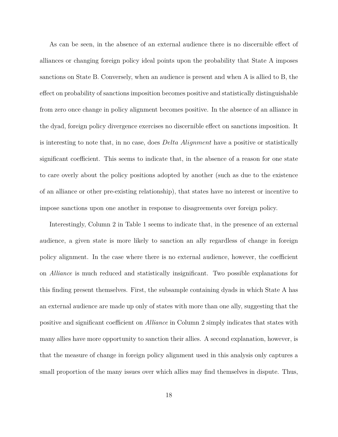As can be seen, in the absence of an external audience there is no discernible effect of alliances or changing foreign policy ideal points upon the probability that State A imposes sanctions on State B. Conversely, when an audience is present and when A is allied to B, the effect on probability of sanctions imposition becomes positive and statistically distinguishable from zero once change in policy alignment becomes positive. In the absence of an alliance in the dyad, foreign policy divergence exercises no discernible effect on sanctions imposition. It is interesting to note that, in no case, does *Delta Alignment* have a positive or statistically significant coefficient. This seems to indicate that, in the absence of a reason for one state to care overly about the policy positions adopted by another (such as due to the existence of an alliance or other pre-existing relationship), that states have no interest or incentive to impose sanctions upon one another in response to disagreements over foreign policy.

Interestingly, Column 2 in Table 1 seems to indicate that, in the presence of an external audience, a given state is more likely to sanction an ally regardless of change in foreign policy alignment. In the case where there is no external audience, however, the coefficient on *Alliance* is much reduced and statistically insignificant. Two possible explanations for this finding present themselves. First, the subsample containing dyads in which State A has an external audience are made up only of states with more than one ally, suggesting that the positive and significant coefficient on *Alliance* in Column 2 simply indicates that states with many allies have more opportunity to sanction their allies. A second explanation, however, is that the measure of change in foreign policy alignment used in this analysis only captures a small proportion of the many issues over which allies may find themselves in dispute. Thus,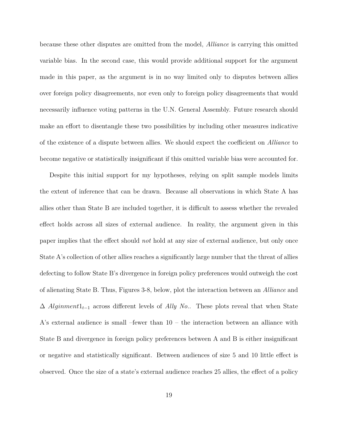because these other disputes are omitted from the model, *Alliance* is carrying this omitted variable bias. In the second case, this would provide additional support for the argument made in this paper, as the argument is in no way limited only to disputes between allies over foreign policy disagreements, nor even only to foreign policy disagreements that would necessarily influence voting patterns in the U.N. General Assembly. Future research should make an effort to disentangle these two possibilities by including other measures indicative of the existence of a dispute between allies. We should expect the coefficient on *Alliance* to become negative or statistically insignificant if this omitted variable bias were accounted for.

Despite this initial support for my hypotheses, relying on split sample models limits the extent of inference that can be drawn. Because all observations in which State A has allies other than State B are included together, it is difficult to assess whether the revealed effect holds across all sizes of external audience. In reality, the argument given in this paper implies that the effect should *not* hold at any size of external audience, but only once State A's collection of other allies reaches a significantly large number that the threat of allies defecting to follow State B's divergence in foreign policy preferences would outweigh the cost of alienating State B. Thus, Figures 3-8, below, plot the interaction between an *Alliance* and ∆ *Alginment*1*t*−<sup>1</sup> across different levels of *Ally No.*. These plots reveal that when State A's external audience is small –fewer than 10 – the interaction between an alliance with State B and divergence in foreign policy preferences between A and B is either insignificant or negative and statistically significant. Between audiences of size 5 and 10 little effect is observed. Once the size of a state's external audience reaches 25 allies, the effect of a policy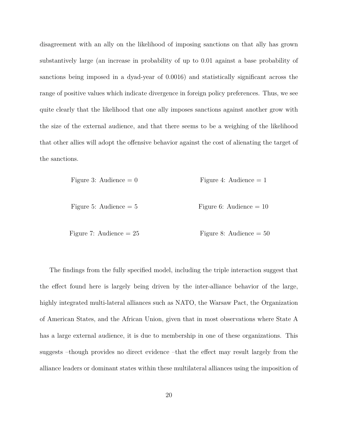disagreement with an ally on the likelihood of imposing sanctions on that ally has grown substantively large (an increase in probability of up to 0.01 against a base probability of sanctions being imposed in a dyad-year of 0.0016) and statistically significant across the range of positive values which indicate divergence in foreign policy preferences. Thus, we see quite clearly that the likelihood that one ally imposes sanctions against another grow with the size of the external audience, and that there seems to be a weighing of the likelihood that other allies will adopt the offensive behavior against the cost of alienating the target of the sanctions.

Figure 3: Audience = 
$$
0
$$
 Figure 4: Audience =  $1$ 

Figure 5: Audience = 
$$
5
$$
 Figure 6: Audience =  $10$ 

Figure 7: Audience = 
$$
25
$$
 Figure 8: Audience =  $50$ 

The findings from the fully specified model, including the triple interaction suggest that the effect found here is largely being driven by the inter-alliance behavior of the large, highly integrated multi-lateral alliances such as NATO, the Warsaw Pact, the Organization of American States, and the African Union, given that in most observations where State A has a large external audience, it is due to membership in one of these organizations. This suggests –though provides no direct evidence –that the effect may result largely from the alliance leaders or dominant states within these multilateral alliances using the imposition of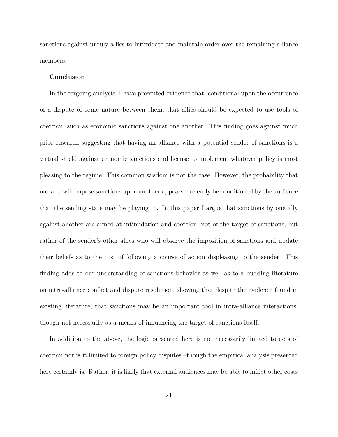sanctions against unruly allies to intimidate and maintain order over the remaining alliance members.

# **Conclusion**

In the forgoing analysis, I have presented evidence that, conditional upon the occurrence of a dispute of some nature between them, that allies should be expected to use tools of coercion, such as economic sanctions against one another. This finding goes against much prior research suggesting that having an alliance with a potential sender of sanctions is a virtual shield against economic sanctions and license to implement whatever policy is most pleasing to the regime. This common wisdom is not the case. However, the probability that one ally will impose sanctions upon another appears to clearly be conditioned by the audience that the sending state may be playing to. In this paper I argue that sanctions by one ally against another are aimed at intimidation and coercion, not of the target of sanctions, but rather of the sender's other allies who will observe the imposition of sanctions and update their beliefs as to the cost of following a course of action displeasing to the sender. This finding adds to our understanding of sanctions behavior as well as to a budding literature on intra-alliance conflict and dispute resolution, showing that despite the evidence found in existing literature, that sanctions may be an important tool in intra-alliance interactions, though not necessarily as a means of influencing the target of sanctions itself.

In addition to the above, the logic presented here is not necessarily limited to acts of coercion nor is it limited to foreign policy disputes –though the empirical analysis presented here certainly is. Rather, it is likely that external audiences may be able to inflict other costs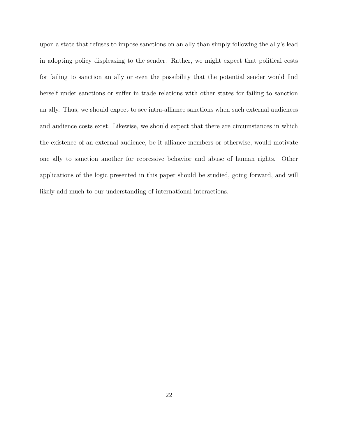upon a state that refuses to impose sanctions on an ally than simply following the ally's lead in adopting policy displeasing to the sender. Rather, we might expect that political costs for failing to sanction an ally or even the possibility that the potential sender would find herself under sanctions or suffer in trade relations with other states for failing to sanction an ally. Thus, we should expect to see intra-alliance sanctions when such external audiences and audience costs exist. Likewise, we should expect that there are circumstances in which the existence of an external audience, be it alliance members or otherwise, would motivate one ally to sanction another for repressive behavior and abuse of human rights. Other applications of the logic presented in this paper should be studied, going forward, and will likely add much to our understanding of international interactions.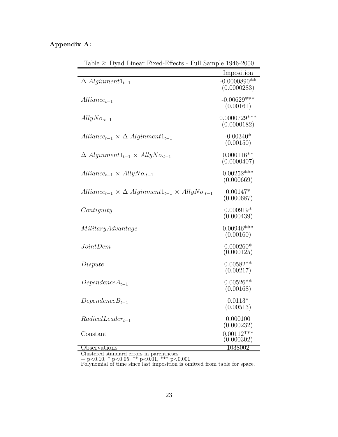# **Appendix A:**

|                                                                                  | Imposition                    |
|----------------------------------------------------------------------------------|-------------------------------|
| $\Delta$ Alginment $1_{t-1}$                                                     | $-0.0000890**$<br>(0.0000283) |
| $Alliance_{t-1}$                                                                 | $-0.00629***$<br>(0.00161)    |
| $AllyNo.t-1$                                                                     | $0.0000729***$<br>(0.0000182) |
| $Alliance_{t-1} \times \Delta$ Alginment $1_{t-1}$                               | $-0.00340*$<br>(0.00150)      |
| $\Delta$ Alginment $1_{t-1} \times$ AllyNo.                                      | $0.000116**$<br>(0.0000407)   |
| $Alliance_{t-1} \times AllyNo_{t-1}$                                             | $0.00252***$<br>(0.000669)    |
| $Alliance_{t-1} \times \Delta$ Alginment $1_{t-1} \times$ AllyNo. <sub>t-1</sub> | $0.00147*$<br>(0.000687)      |
| Contiguity                                                                       | $0.000919*$<br>(0.000439)     |
| MilityAdvantage                                                                  | $0.00946***$<br>(0.00160)     |
| Joint Dem                                                                        | $0.000260*$<br>(0.000125)     |
| Dispute                                                                          | $0.00582**$<br>(0.00217)      |
| $Dependence A_{t-1}$                                                             | $0.00526**$<br>(0.00168)      |
| $Dependence B_{t-1}$                                                             | $0.0113*$<br>(0.00513)        |
| $RadicalLeader_{t-1}$                                                            | 0.000100<br>(0.000232)        |
| Constant                                                                         | $0.00112***$<br>(0.000302)    |
| Observations                                                                     | 1038002                       |

Table 2: Dyad Linear Fixed-Effects - Full Sample 1946-2000

 $\equiv$ 

Clustered standard errors in parentheses  $+$  p<0.10, \* p<0.05, \*\* p<0.01, \*\*\* p<0.001

Polynomial of time since last imposition is omitted from table for space.